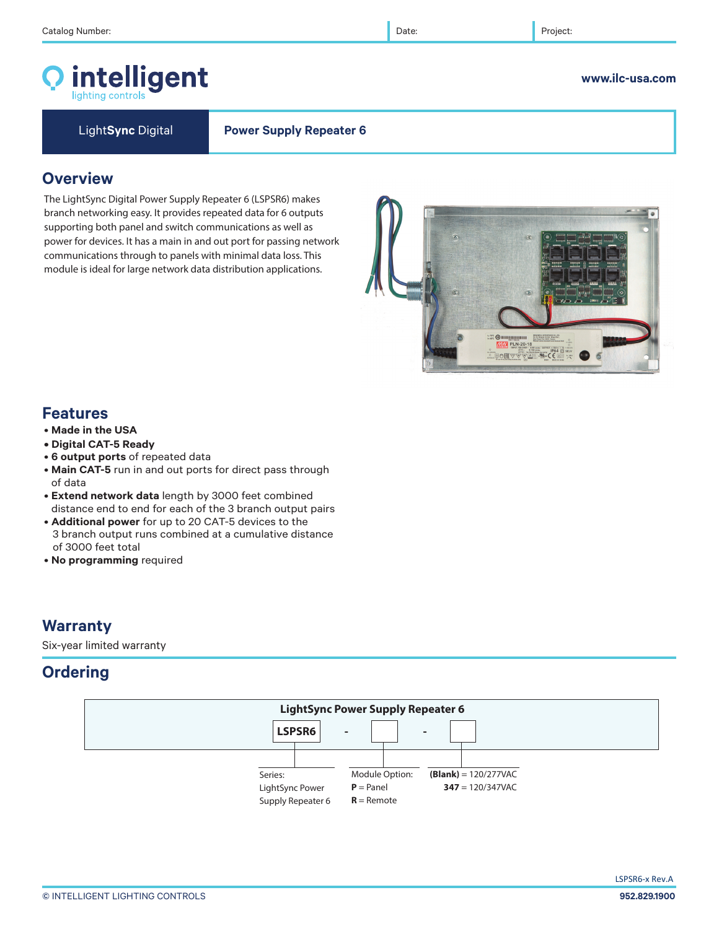# intelligent

Light**Sync** Digital **Power Supply Repeater 6** 

# **Overview**

The LightSync Digital Power Supply Repeater 6 (LSPSR6) makes branch networking easy. It provides repeated data for 6 outputs supporting both panel and switch communications as well as power for devices. It has a main in and out port for passing network communications through to panels with minimal data loss. This module is ideal for large network data distribution applications.

# **Features**

- **Made in the USA**
- **Digital CAT-5 Ready**
- **6 output ports** of repeated data
- **Main CAT-5** run in and out ports for direct pass through of data
- **Extend network data** length by 3000 feet combined distance end to end for each of the 3 branch output pairs
- **Additional power** for up to 20 CAT-5 devices to the 3 branch output runs combined at a cumulative distance of 3000 feet total
- **No programming** required

# **Warranty**

Six-year limited warranty

# **Ordering**